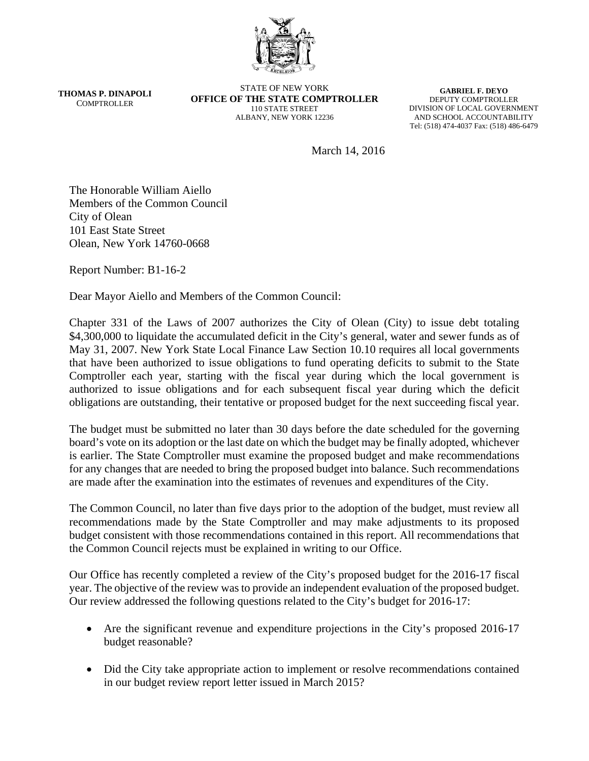

**THOMAS P. DINAPOLI** COMPTROLLER

STATE OF NEW YORK **OFFICE OF THE STATE COMPTROLLER**  110 STATE STREET ALBANY, NEW YORK 12236

**GABRIEL F. DEYO**  DEPUTY COMPTROLLER DIVISION OF LOCAL GOVERNMENT AND SCHOOL ACCOUNTABILITY Tel: (518) 474-4037 Fax: (518) 486-6479

March 14, 2016

The Honorable William Aiello Members of the Common Council City of Olean 101 East State Street Olean, New York 14760-0668

Report Number: B1-16-2

Dear Mayor Aiello and Members of the Common Council:

Chapter 331 of the Laws of 2007 authorizes the City of Olean (City) to issue debt totaling \$4,300,000 to liquidate the accumulated deficit in the City's general, water and sewer funds as of May 31, 2007. New York State Local Finance Law Section 10.10 requires all local governments that have been authorized to issue obligations to fund operating deficits to submit to the State Comptroller each year, starting with the fiscal year during which the local government is authorized to issue obligations and for each subsequent fiscal year during which the deficit obligations are outstanding, their tentative or proposed budget for the next succeeding fiscal year.

The budget must be submitted no later than 30 days before the date scheduled for the governing board's vote on its adoption or the last date on which the budget may be finally adopted, whichever is earlier. The State Comptroller must examine the proposed budget and make recommendations for any changes that are needed to bring the proposed budget into balance. Such recommendations are made after the examination into the estimates of revenues and expenditures of the City.

The Common Council, no later than five days prior to the adoption of the budget, must review all recommendations made by the State Comptroller and may make adjustments to its proposed budget consistent with those recommendations contained in this report. All recommendations that the Common Council rejects must be explained in writing to our Office.

Our Office has recently completed a review of the City's proposed budget for the 2016-17 fiscal year. The objective of the review was to provide an independent evaluation of the proposed budget. Our review addressed the following questions related to the City's budget for 2016-17:

- Are the significant revenue and expenditure projections in the City's proposed 2016-17 budget reasonable?
- Did the City take appropriate action to implement or resolve recommendations contained in our budget review report letter issued in March 2015?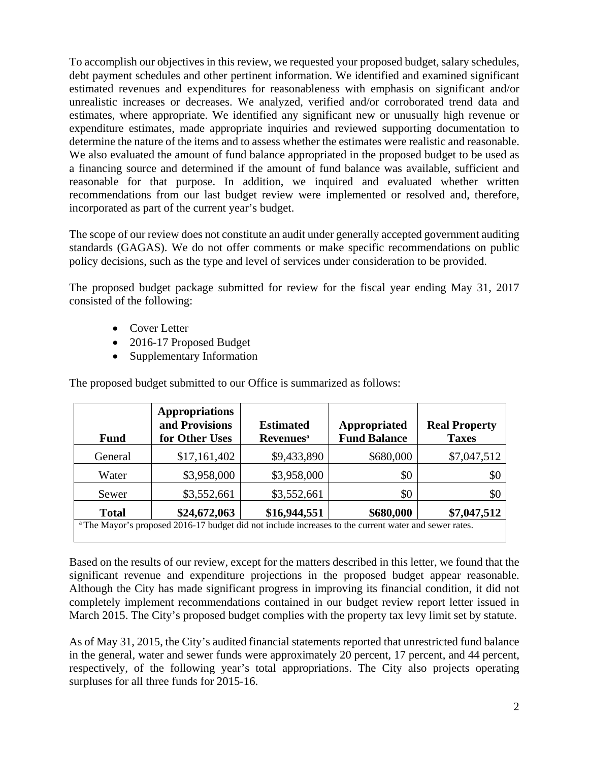To accomplish our objectives in this review, we requested your proposed budget, salary schedules, debt payment schedules and other pertinent information. We identified and examined significant estimated revenues and expenditures for reasonableness with emphasis on significant and/or unrealistic increases or decreases. We analyzed, verified and/or corroborated trend data and estimates, where appropriate. We identified any significant new or unusually high revenue or expenditure estimates, made appropriate inquiries and reviewed supporting documentation to determine the nature of the items and to assess whether the estimates were realistic and reasonable. We also evaluated the amount of fund balance appropriated in the proposed budget to be used as a financing source and determined if the amount of fund balance was available, sufficient and reasonable for that purpose. In addition, we inquired and evaluated whether written recommendations from our last budget review were implemented or resolved and, therefore, incorporated as part of the current year's budget.

The scope of our review does not constitute an audit under generally accepted government auditing standards (GAGAS). We do not offer comments or make specific recommendations on public policy decisions, such as the type and level of services under consideration to be provided.

The proposed budget package submitted for review for the fiscal year ending May 31, 2017 consisted of the following:

- Cover Letter
- 2016-17 Proposed Budget
- Supplementary Information

The proposed budget submitted to our Office is summarized as follows:

| <b>Fund</b>                                                                                                      | <b>Appropriations</b><br>and Provisions<br>for Other Uses | <b>Estimated</b><br><b>Revenues</b> <sup>a</sup> | Appropriated<br><b>Fund Balance</b> | <b>Real Property</b><br><b>Taxes</b> |
|------------------------------------------------------------------------------------------------------------------|-----------------------------------------------------------|--------------------------------------------------|-------------------------------------|--------------------------------------|
| General                                                                                                          | \$17,161,402                                              | \$9,433,890                                      | \$680,000                           | \$7,047,512                          |
| Water                                                                                                            | \$3,958,000                                               | \$3,958,000                                      | \$0                                 | \$0                                  |
| Sewer                                                                                                            | \$3,552,661                                               | \$3,552,661                                      | \$0                                 | \$0                                  |
| <b>Total</b>                                                                                                     | \$24,672,063                                              | \$16,944,551                                     | \$680,000                           | \$7,047,512                          |
| <sup>a</sup> The Mayor's proposed 2016-17 budget did not include increases to the current water and sewer rates. |                                                           |                                                  |                                     |                                      |

Based on the results of our review, except for the matters described in this letter, we found that the significant revenue and expenditure projections in the proposed budget appear reasonable. Although the City has made significant progress in improving its financial condition, it did not completely implement recommendations contained in our budget review report letter issued in March 2015. The City's proposed budget complies with the property tax levy limit set by statute.

As of May 31, 2015, the City's audited financial statements reported that unrestricted fund balance in the general, water and sewer funds were approximately 20 percent, 17 percent, and 44 percent, respectively, of the following year's total appropriations. The City also projects operating surpluses for all three funds for 2015-16.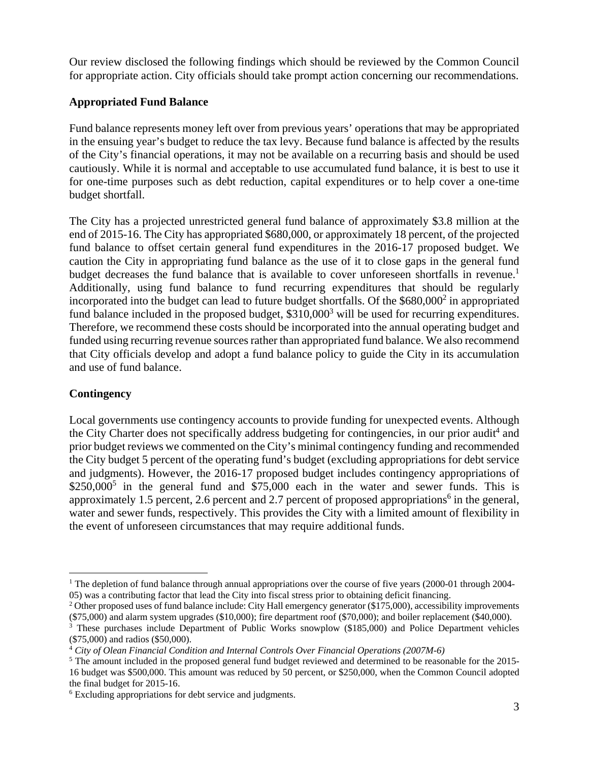Our review disclosed the following findings which should be reviewed by the Common Council for appropriate action. City officials should take prompt action concerning our recommendations.

# **Appropriated Fund Balance**

Fund balance represents money left over from previous years' operations that may be appropriated in the ensuing year's budget to reduce the tax levy. Because fund balance is affected by the results of the City's financial operations, it may not be available on a recurring basis and should be used cautiously. While it is normal and acceptable to use accumulated fund balance, it is best to use it for one-time purposes such as debt reduction, capital expenditures or to help cover a one-time budget shortfall.

The City has a projected unrestricted general fund balance of approximately \$3.8 million at the end of 2015-16. The City has appropriated \$680,000, or approximately 18 percent, of the projected fund balance to offset certain general fund expenditures in the 2016-17 proposed budget. We caution the City in appropriating fund balance as the use of it to close gaps in the general fund budget decreases the fund balance that is available to cover unforeseen shortfalls in revenue.<sup>1</sup> Additionally, using fund balance to fund recurring expenditures that should be regularly incorporated into the budget can lead to future budget shortfalls. Of the \$680,000<sup>2</sup> in appropriated fund balance included in the proposed budget,  $$310,000^3$  will be used for recurring expenditures. Therefore, we recommend these costs should be incorporated into the annual operating budget and funded using recurring revenue sources rather than appropriated fund balance. We also recommend that City officials develop and adopt a fund balance policy to guide the City in its accumulation and use of fund balance.

# **Contingency**

<u>.</u>

Local governments use contingency accounts to provide funding for unexpected events. Although the City Charter does not specifically address budgeting for contingencies, in our prior audit<sup>4</sup> and prior budget reviews we commented on the City's minimal contingency funding and recommended the City budget 5 percent of the operating fund's budget (excluding appropriations for debt service and judgments). However, the 2016-17 proposed budget includes contingency appropriations of  $$250,000^5$  in the general fund and  $$75,000$  each in the water and sewer funds. This is approximately 1.5 percent, 2.6 percent and 2.7 percent of proposed appropriations<sup>6</sup> in the general, water and sewer funds, respectively. This provides the City with a limited amount of flexibility in the event of unforeseen circumstances that may require additional funds.

<sup>&</sup>lt;sup>1</sup> The depletion of fund balance through annual appropriations over the course of five years (2000-01 through 2004-05) was a contributing factor that lead the City into fiscal stress prior to obtaining deficit financing. 2

<sup>&</sup>lt;sup>2</sup> Other proposed uses of fund balance include: City Hall emergency generator  $(\$175,000)$ , accessibility improvements  $(\$75,000)$  and alarm system upgrades  $(\$10,000)$ ; fire department roof  $(\$70,000)$ ; and boiler replacement  $(\$40,000)$ .

<sup>&</sup>lt;sup>3</sup> These purchases include Department of Public Works snowplow (\$185,000) and Police Department vehicles (\$75,000) and radios (\$50,000).

<sup>4</sup> *City of Olean Financial Condition and Internal Controls Over Financial Operations (2007M-6)* 

<sup>&</sup>lt;sup>5</sup> The amount included in the proposed general fund budget reviewed and determined to be reasonable for the 2015-16 budget was \$500,000. This amount was reduced by 50 percent, or \$250,000, when the Common Council adopted the final budget for 2015-16.

<sup>6</sup> Excluding appropriations for debt service and judgments.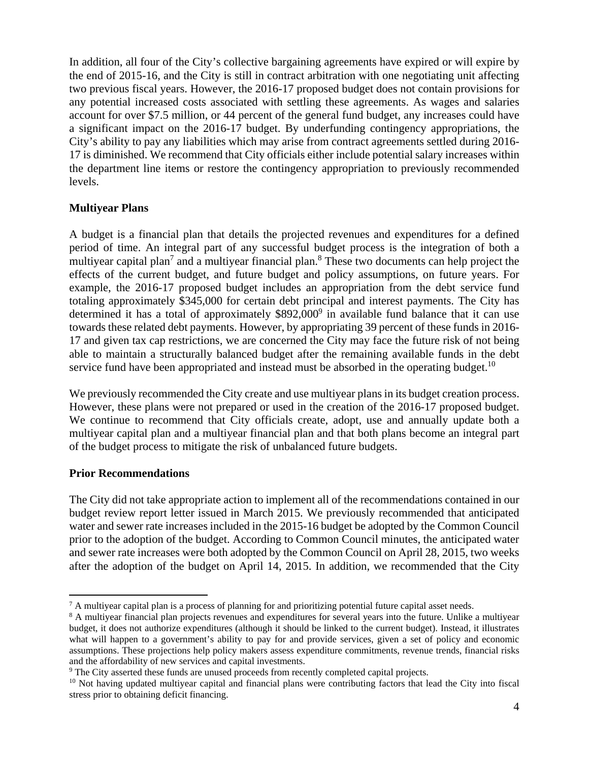In addition, all four of the City's collective bargaining agreements have expired or will expire by the end of 2015-16, and the City is still in contract arbitration with one negotiating unit affecting two previous fiscal years. However, the 2016-17 proposed budget does not contain provisions for any potential increased costs associated with settling these agreements. As wages and salaries account for over \$7.5 million, or 44 percent of the general fund budget, any increases could have a significant impact on the 2016-17 budget. By underfunding contingency appropriations, the City's ability to pay any liabilities which may arise from contract agreements settled during 2016- 17 is diminished. We recommend that City officials either include potential salary increases within the department line items or restore the contingency appropriation to previously recommended levels.

### **Multiyear Plans**

A budget is a financial plan that details the projected revenues and expenditures for a defined period of time. An integral part of any successful budget process is the integration of both a multiyear capital plan<sup>7</sup> and a multiyear financial plan.<sup>8</sup> These two documents can help project the effects of the current budget, and future budget and policy assumptions, on future years. For example, the 2016-17 proposed budget includes an appropriation from the debt service fund totaling approximately \$345,000 for certain debt principal and interest payments. The City has determined it has a total of approximately  $$892,000^9$  in available fund balance that it can use towards these related debt payments. However, by appropriating 39 percent of these funds in 2016- 17 and given tax cap restrictions, we are concerned the City may face the future risk of not being able to maintain a structurally balanced budget after the remaining available funds in the debt service fund have been appropriated and instead must be absorbed in the operating budget.<sup>10</sup>

We previously recommended the City create and use multiyear plans in its budget creation process. However, these plans were not prepared or used in the creation of the 2016-17 proposed budget. We continue to recommend that City officials create, adopt, use and annually update both a multiyear capital plan and a multiyear financial plan and that both plans become an integral part of the budget process to mitigate the risk of unbalanced future budgets.

### **Prior Recommendations**

The City did not take appropriate action to implement all of the recommendations contained in our budget review report letter issued in March 2015. We previously recommended that anticipated water and sewer rate increases included in the 2015-16 budget be adopted by the Common Council prior to the adoption of the budget. According to Common Council minutes, the anticipated water and sewer rate increases were both adopted by the Common Council on April 28, 2015, two weeks after the adoption of the budget on April 14, 2015. In addition, we recommended that the City

<sup>1</sup> <sup>7</sup> A multiyear capital plan is a process of planning for and prioritizing potential future capital asset needs.<br><sup>8</sup> A multivear financial plan projects revenues and expenditures for several vears into the future. Unlike

<sup>&</sup>lt;sup>8</sup> A multiyear financial plan projects revenues and expenditures for several years into the future. Unlike a multiyear budget, it does not authorize expenditures (although it should be linked to the current budget). Instead, it illustrates what will happen to a government's ability to pay for and provide services, given a set of policy and economic assumptions. These projections help policy makers assess expenditure commitments, revenue trends, financial risks and the affordability of new services and capital investments.

<sup>&</sup>lt;sup>9</sup> The City asserted these funds are unused proceeds from recently completed capital projects.

 $10$  Not having updated multiyear capital and financial plans were contributing factors that lead the City into fiscal stress prior to obtaining deficit financing.